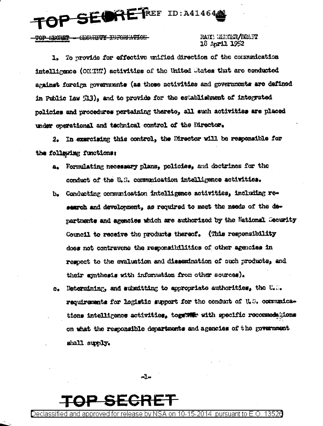OP SEORETREF ID: A414640

**CROTER - CECURERY THRORPHTICH-**

## RAIK! WENDER/DRAFT 18 April 1952

1. To provide for effective unified direction of the communication intelligence (COMMN) activities of the United States that are conducted against foreign governments (as these activities and governments are defined in Public Iaw 513), and to provide for the establishment of integrated policies and procedures pertaining thereto, all such activities are placed under operational and technical control of the Director.

2. In exercising this control, the Director will be responsible for the following functions:

- Formulating necessary plans, policies, and doctrines for the  $\mathbf{a}_{\bullet}$ conduct of the U.S. communication intelligence activities.
- b. Conducting communication intelligence activities, including research and develonment, as required to meet the needs of the departments and agencies which are authorized by the National Geourity Council to receive the products thereof. (This responsibility does not contravene the responsibilities of other agencies in respect to the evaluation and dissemination of such products, and their synthesis with information from other sources).
- Determining, and submitting to appropriate authorities, the U.O.  $\bullet$ requirements for logistic support for the conduct of U.S. communications intelligence activities, together with specific recornedations on what the responsible departments and agencies of the government shall supply.

 $n \mathbf{1}$ 

Declassified and for release by NSA on 10-15-2014, pursuant to  $\mathsf F$  O 13526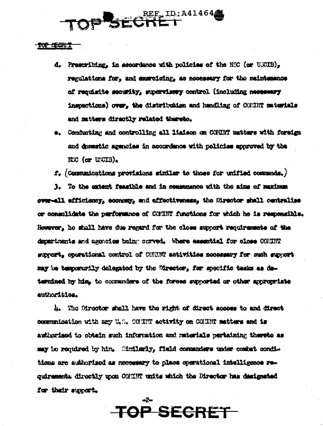## SECHER 1D: A414644

TOP SECTURE

- d. Prescribing, in accordance with policies of the NSC (or USCIB), regulations for. and exercising, as necessary for the maintenance of resulsite security, supervisory control (including necessary inspections) over. the distribution and handling of COMINT materials and matters directly related thereto.
- \*. Conducting and controlling all liaison on COMINT matters with foreign and deseatic agencies in accordance with policies approved by the KG (or UNCIB).

 $f_*$  (Communications provisions similar to those for unified communds.)

3. To the extent feasible and in comsemence with the aims of muximum over-all afficiency, coonney, and affectiveness, the Director shall centralise or consolidate the performance of COMINT functions for which he is responsible. However, he shall have due regard for the close support requirements of the departments and agencies being corved. Where assential for close COMINT support, operational control of COSINT activities necessary for such support may be temporarily delegated by the Director, for specific tasks as determined by him, to communiers of the forces supported or other appropriate authoritics.

4. The Director shall have the right of direct secons to and direct communication with any U.S. COUNT activity on COUNT matters and is authorized to obtain such information and materials pertaining thereto as may be required by him. Similarly, field commanders under combat conditions are authorized as necessary to place operational intelligence requirement: directly upon CONINT units which the Director has designated for their support.

**TOP SECRET** 

 $\star$ 2+